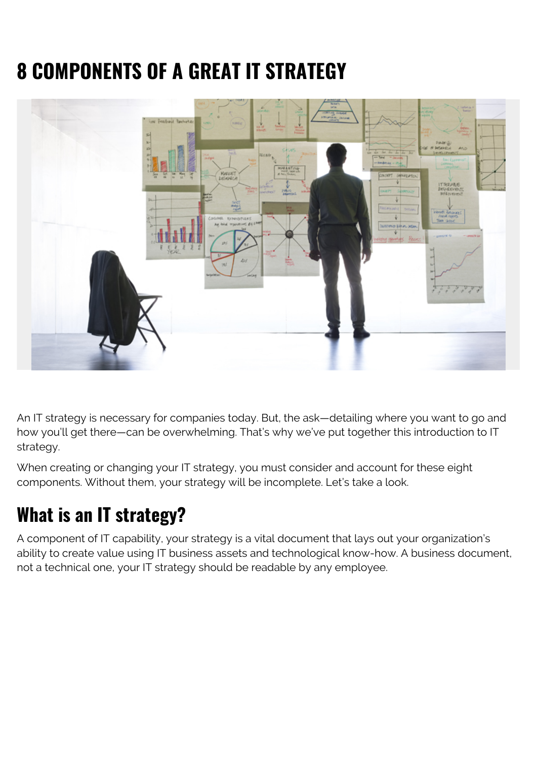# **8 COMPONENTS OF A GREAT IT STRATEGY**



An IT strategy is necessary for companies today. But, the ask—detailing where you want to go and how you'll get there—can be overwhelming. That's why we've put together this introduction to IT strategy.

When creating or changing your IT strategy, you must consider and account for these eight components. Without them, your strategy will be incomplete. Let's take a look.

# **What is an IT strategy?**

A component of IT capability, your strategy is a vital document that lays out your organization's ability to create value using IT business assets and technological know-how. A business document, not a technical one, your IT strategy should be readable by any employee.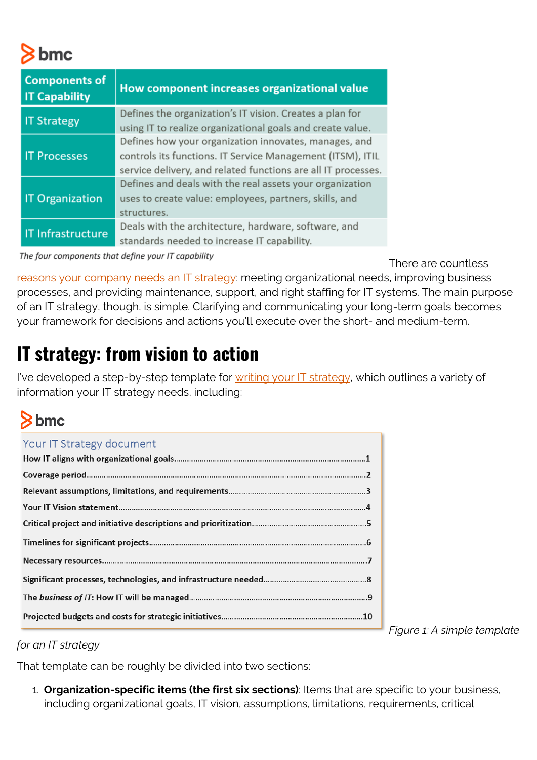# bmc

| <b>Components of</b><br><b>IT Capability</b> | How component increases organizational value                  |
|----------------------------------------------|---------------------------------------------------------------|
| <b>IT Strategy</b>                           | Defines the organization's IT vision. Creates a plan for      |
|                                              | using IT to realize organizational goals and create value.    |
| <b>IT Processes</b>                          | Defines how your organization innovates, manages, and         |
|                                              | controls its functions. IT Service Management (ITSM), ITIL    |
|                                              | service delivery, and related functions are all IT processes. |
| <b>IT Organization</b>                       | Defines and deals with the real assets your organization      |
|                                              | uses to create value: employees, partners, skills, and        |
|                                              | structures.                                                   |
| <b>IT Infrastructure</b>                     | Deals with the architecture, hardware, software, and          |
|                                              | standards needed to increase IT capability.                   |

The four components that define your IT capability

There are countless

[reasons your company needs an IT strategy:](https://blogs.bmc.com/blogs/it-strategic-planning-why-is-an-it-strategy-so-important/) meeting organizational needs, improving business processes, and providing maintenance, support, and right staffing for IT systems. The main purpose of an IT strategy, though, is simple. Clarifying and communicating your long-term goals becomes your framework for decisions and actions you'll execute over the short- and medium-term.

# **IT strategy: from vision to action**

I've developed a step-by-step template for [writing your IT strategy,](https://www.bmc.com/blogs/service-catalog-vs-service-portfolio-whats-the-difference/) which outlines a variety of information your IT strategy needs, including:

## $8<sub>bmc</sub>$

| Your IT Strategy document |  |
|---------------------------|--|
|                           |  |
|                           |  |
|                           |  |
|                           |  |
|                           |  |
|                           |  |
|                           |  |
|                           |  |
|                           |  |
|                           |  |

*Figure 1: A simple template*

*for an IT strategy*

That template can be roughly be divided into two sections:

1. **Organization-specific items (the first six sections)**: Items that are specific to your business, including organizational goals, IT vision, assumptions, limitations, requirements, critical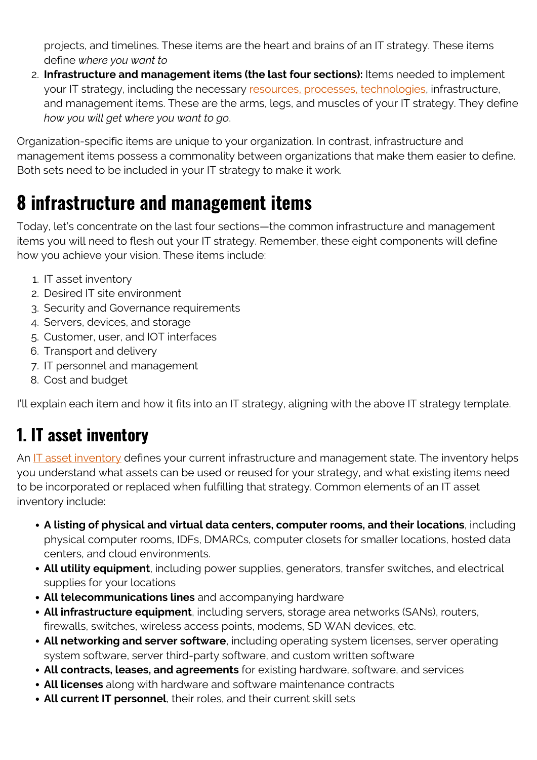projects, and timelines. These items are the heart and brains of an IT strategy. These items define *where you want to*

2. **Infrastructure and management items (the last four sections):** Items needed to implement your IT strategy, including the necessary [resources, processes, technologies](https://blogs.bmc.com/blogs/people-process-technology/), infrastructure, and management items. These are the arms, legs, and muscles of your IT strategy. They define *how you will get where you want to go*.

Organization-specific items are unique to your organization. In contrast, infrastructure and management items possess a commonality between organizations that make them easier to define. Both sets need to be included in your IT strategy to make it work.

## **8 infrastructure and management items**

Today, let's concentrate on the last four sections—the common infrastructure and management items you will need to flesh out your IT strategy. Remember, these eight components will define how you achieve your vision. These items include:

- 1. IT asset inventory
- 2. Desired IT site environment
- 3. Security and Governance requirements
- 4. Servers, devices, and storage
- 5. Customer, user, and IOT interfaces
- 6. Transport and delivery
- 7. IT personnel and management
- 8. Cost and budget

I'll explain each item and how it fits into an IT strategy, aligning with the above IT strategy template.

#### **1. IT asset inventory**

An [IT asset inventory](https://blogs.bmc.com/blogs/asset-management-vs-configuration-management/) defines your current infrastructure and management state. The inventory helps you understand what assets can be used or reused for your strategy, and what existing items need to be incorporated or replaced when fulfilling that strategy. Common elements of an IT asset inventory include:

- **A listing of physical and virtual data centers, computer rooms, and their locations**, including physical computer rooms, IDFs, DMARCs, computer closets for smaller locations, hosted data centers, and cloud environments.
- **All utility equipment**, including power supplies, generators, transfer switches, and electrical supplies for your locations
- **All telecommunications lines** and accompanying hardware
- **All infrastructure equipment**, including servers, storage area networks (SANs), routers, firewalls, switches, wireless access points, modems, SD WAN devices, etc.
- **All networking and server software**, including operating system licenses, server operating system software, server third-party software, and custom written software
- **All contracts, leases, and agreements** for existing hardware, software, and services
- **All licenses** along with hardware and software maintenance contracts
- **All current IT personnel**, their roles, and their current skill sets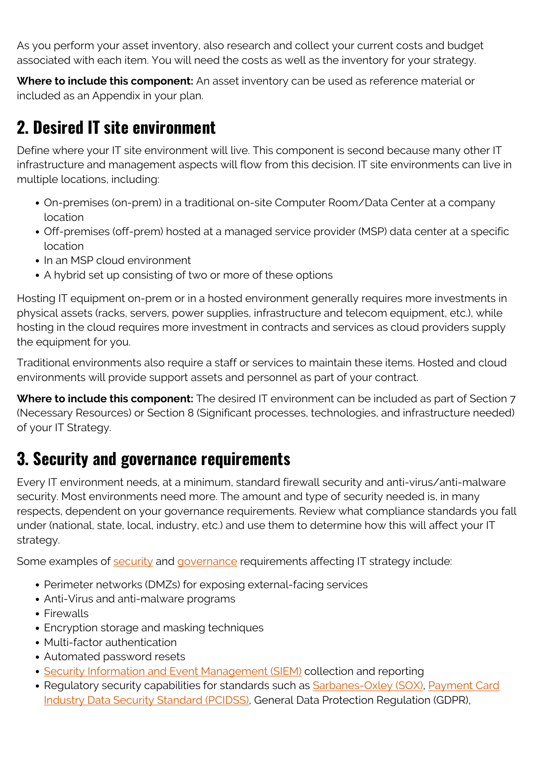As you perform your asset inventory, also research and collect your current costs and budget associated with each item. You will need the costs as well as the inventory for your strategy.

**Where to include this component:** An asset inventory can be used as reference material or included as an Appendix in your plan.

#### **2. Desired IT site environment**

Define where your IT site environment will live. This component is second because many other IT infrastructure and management aspects will flow from this decision. IT site environments can live in multiple locations, including:

- On-premises (on-prem) in a traditional on-site Computer Room/Data Center at a company location
- Off-premises (off-prem) hosted at a managed service provider (MSP) data center at a specific location
- In an MSP cloud environment
- A hybrid set up consisting of two or more of these options

Hosting IT equipment on-prem or in a hosted environment generally requires more investments in physical assets (racks, servers, power supplies, infrastructure and telecom equipment, etc.), while hosting in the cloud requires more investment in contracts and services as cloud providers supply the equipment for you.

Traditional environments also require a staff or services to maintain these items. Hosted and cloud environments will provide support assets and personnel as part of your contract.

**Where to include this component:** The desired IT environment can be included as part of Section 7 (Necessary Resources) or Section 8 (Significant processes, technologies, and infrastructure needed) of your IT Strategy.

#### **3. Security and governance requirements**

Every IT environment needs, at a minimum, standard firewall security and anti-virus/anti-malware security. Most environments need more. The amount and type of security needed is, in many respects, dependent on your governance requirements. Review what compliance standards you fall under (national, state, local, industry, etc.) and use them to determine how this will affect your IT strategy.

Some examples of [security](https://blogs.bmc.com/blogs/security-introduction/) and [governance](https://blogs.bmc.com/blogs/it-governance/) requirements affecting IT strategy include:

- Perimeter networks (DMZs) for exposing external-facing services
- Anti-Virus and anti-malware programs
- Firewalls
- Encryption storage and masking techniques
- Multi-factor authentication
- Automated password resets
- [Security Information and Event Management \(SIEM\)](https://blogs.bmc.com/blogs/siem-security-information-event-management/) collection and reporting
- Regulatory security capabilities for standards such as **[Sarbanes-Oxley \(SOX\)](https://blogs.bmc.com/blogs/security-sox-compliance/)**, [Payment Card](https://blogs.bmc.com/blogs/security-pci-compliance/) [Industry Data Security Standard \(PCIDSS\),](https://blogs.bmc.com/blogs/security-pci-compliance/) General Data Protection Regulation (GDPR),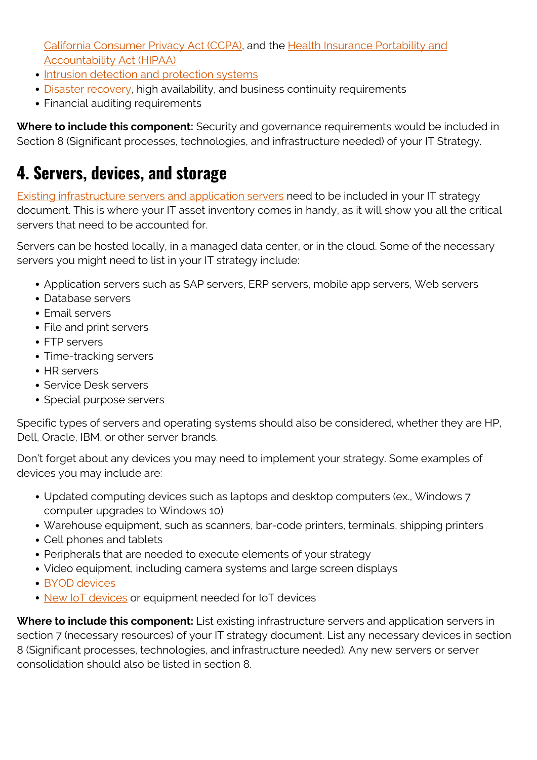[California Consumer Privacy Act \(CCPA\)](https://blogs.bmc.com/blogs/changing-consumer-conceptions-of-pii-data-necessitate-event-correlation-real-time-alerts-and-rehearsed-incident-response/), and the [Health Insurance Portability and](https://blogs.bmc.com/blogs/security-hipaa-compliance/) [Accountability Act \(HIPAA\)](https://blogs.bmc.com/blogs/security-hipaa-compliance/)

- [Intrusion detection and protection systems](https://www.bmc.com/blogs/ids-intrusion-detection-vs-ips-intrusion-prevention-systems/)
- [Disaster recovery,](https://www.bmc.com/blogs/disaster-recovery-planning/) high availability, and business continuity requirements
- Financial auditing requirements

**Where to include this component:** Security and governance requirements would be included in Section 8 (Significant processes, technologies, and infrastructure needed) of your IT Strategy.

#### **4. Servers, devices, and storage**

[Existing infrastructure servers and application servers](https://blogs.bmc.com/blogs/what-is-it-infrastructure-and-what-are-its-components/) need to be included in your IT strategy document. This is where your IT asset inventory comes in handy, as it will show you all the critical servers that need to be accounted for.

Servers can be hosted locally, in a managed data center, or in the cloud. Some of the necessary servers you might need to list in your IT strategy include:

- Application servers such as SAP servers, ERP servers, mobile app servers, Web servers
- Database servers
- Email servers
- File and print servers
- FTP servers
- Time-tracking servers
- HR servers
- Service Desk servers
- Special purpose servers

Specific types of servers and operating systems should also be considered, whether they are HP, Dell, Oracle, IBM, or other server brands.

Don't forget about any devices you may need to implement your strategy. Some examples of devices you may include are:

- Updated computing devices such as laptops and desktop computers (ex., Windows 7 computer upgrades to Windows 10)
- Warehouse equipment, such as scanners, bar-code printers, terminals, shipping printers
- Cell phones and tablets
- Peripherals that are needed to execute elements of your strategy
- Video equipment, including camera systems and large screen displays
- [BYOD devices](https://blogs.bmc.com/blogs/byod-policies/)
- [New IoT devices](https://blogs.bmc.com/blogs/endpoints/) or equipment needed for IoT devices

**Where to include this component:** List existing infrastructure servers and application servers in section 7 (necessary resources) of your IT strategy document. List any necessary devices in section 8 (Significant processes, technologies, and infrastructure needed). Any new servers or server consolidation should also be listed in section 8.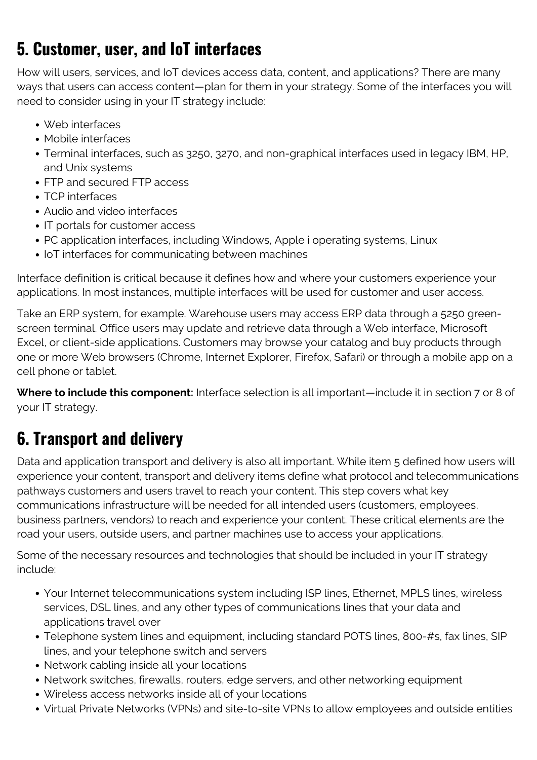#### **5. Customer, user, and IoT interfaces**

How will users, services, and IoT devices access data, content, and applications? There are many ways that users can access content—plan for them in your strategy. Some of the interfaces you will need to consider using in your IT strategy include:

- Web interfaces
- Mobile interfaces
- Terminal interfaces, such as 3250, 3270, and non-graphical interfaces used in legacy IBM, HP, and Unix systems
- FTP and secured FTP access
- TCP interfaces
- Audio and video interfaces
- IT portals for customer access
- PC application interfaces, including Windows, Apple i operating systems, Linux
- IoT interfaces for communicating between machines

Interface definition is critical because it defines how and where your customers experience your applications. In most instances, multiple interfaces will be used for customer and user access.

Take an ERP system, for example. Warehouse users may access ERP data through a 5250 greenscreen terminal. Office users may update and retrieve data through a Web interface, Microsoft Excel, or client-side applications. Customers may browse your catalog and buy products through one or more Web browsers (Chrome, Internet Explorer, Firefox, Safari) or through a mobile app on a cell phone or tablet.

**Where to include this component:** Interface selection is all important—include it in section 7 or 8 of your IT strategy.

### **6. Transport and delivery**

Data and application transport and delivery is also all important. While item 5 defined how users will experience your content, transport and delivery items define what protocol and telecommunications pathways customers and users travel to reach your content. This step covers what key communications infrastructure will be needed for all intended users (customers, employees, business partners, vendors) to reach and experience your content. These critical elements are the road your users, outside users, and partner machines use to access your applications.

Some of the necessary resources and technologies that should be included in your IT strategy include:

- Your Internet telecommunications system including ISP lines, Ethernet, MPLS lines, wireless services, DSL lines, and any other types of communications lines that your data and applications travel over
- Telephone system lines and equipment, including standard POTS lines, 800-#s, fax lines, SIP lines, and your telephone switch and servers
- Network cabling inside all your locations
- Network switches, firewalls, routers, edge servers, and other networking equipment
- Wireless access networks inside all of your locations
- Virtual Private Networks (VPNs) and site-to-site VPNs to allow employees and outside entities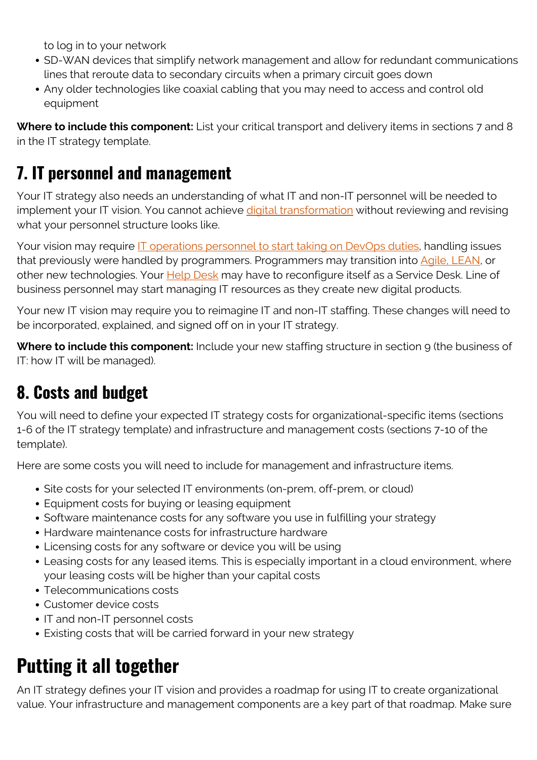to log in to your network

- SD-WAN devices that simplify network management and allow for redundant communications lines that reroute data to secondary circuits when a primary circuit goes down
- Any older technologies like coaxial cabling that you may need to access and control old equipment

**Where to include this component:** List your critical transport and delivery items in sections 7 and 8 in the IT strategy template.

#### **7. IT personnel and management**

Your IT strategy also needs an understanding of what IT and non-IT personnel will be needed to implement your IT vision. You cannot achieve *digital transformation* without reviewing and revising what your personnel structure looks like.

Your vision may require **IT** operations personnel to start taking on DevOps duties, handling issues that previously were handled by programmers. Programmers may transition into [Agile, LEAN](https://www.bmc.com/blogs/lean-startup-enterprise/), or other new technologies. Your **[Help Desk](https://blogs.bmc.com/blogs/help-desk-vs-service-desk-whats-difference/)** may have to reconfigure itself as a Service Desk. Line of business personnel may start managing IT resources as they create new digital products.

Your new IT vision may require you to reimagine IT and non-IT staffing. These changes will need to be incorporated, explained, and signed off on in your IT strategy.

**Where to include this component:** Include your new staffing structure in section 9 (the business of IT: how IT will be managed).

### **8. Costs and budget**

You will need to define your expected IT strategy costs for organizational-specific items (sections 1-6 of the IT strategy template) and infrastructure and management costs (sections 7-10 of the template).

Here are some costs you will need to include for management and infrastructure items.

- Site costs for your selected IT environments (on-prem, off-prem, or cloud)
- Equipment costs for buying or leasing equipment
- Software maintenance costs for any software you use in fulfilling your strategy
- Hardware maintenance costs for infrastructure hardware
- Licensing costs for any software or device you will be using
- Leasing costs for any leased items. This is especially important in a cloud environment, where your leasing costs will be higher than your capital costs
- Telecommunications costs
- Customer device costs
- IT and non-IT personnel costs
- Existing costs that will be carried forward in your new strategy

# **Putting it all together**

An IT strategy defines your IT vision and provides a roadmap for using IT to create organizational value. Your infrastructure and management components are a key part of that roadmap. Make sure